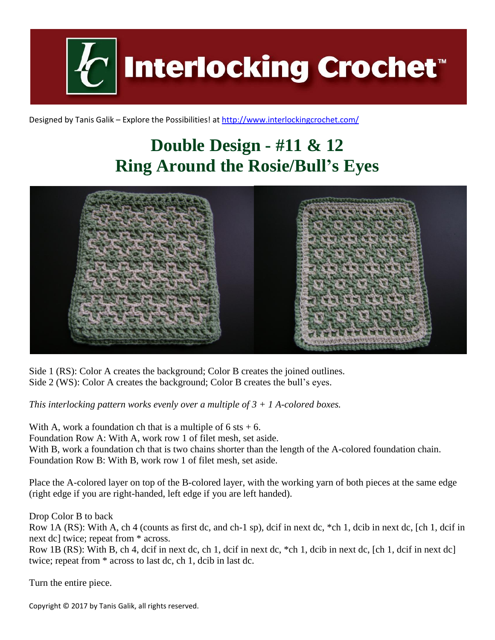**Interlocking Crochet** 

Designed by Tanis Galik – Explore the Possibilities! a[t http://www.interlockingcrochet.com/](http://www.interlockingcrochet.com/)

## **Double Design - #11 & 12 Ring Around the Rosie/Bull's Eyes**



Side 1 (RS): Color A creates the background; Color B creates the joined outlines. Side 2 (WS): Color A creates the background; Color B creates the bull's eyes.

*This interlocking pattern works evenly over a multiple of 3 + 1 A-colored boxes.*

With A, work a foundation ch that is a multiple of  $6$  sts  $+ 6$ .

Foundation Row A: With A, work row 1 of filet mesh, set aside.

With B, work a foundation ch that is two chains shorter than the length of the A-colored foundation chain. Foundation Row B: With B, work row 1 of filet mesh, set aside.

Place the A-colored layer on top of the B-colored layer, with the working yarn of both pieces at the same edge (right edge if you are right-handed, left edge if you are left handed).

Drop Color B to back

Row 1A (RS): With A, ch 4 (counts as first dc, and ch-1 sp), dcif in next dc, \*ch 1, dcib in next dc, [ch 1, dcif in next dc] twice; repeat from \* across.

Row 1B (RS): With B, ch 4, dcif in next dc, ch 1, dcif in next dc, \*ch 1, dcib in next dc, [ch 1, dcif in next dc] twice; repeat from \* across to last dc, ch 1, dcib in last dc.

Turn the entire piece.

Copyright © 2017 by Tanis Galik, all rights reserved.